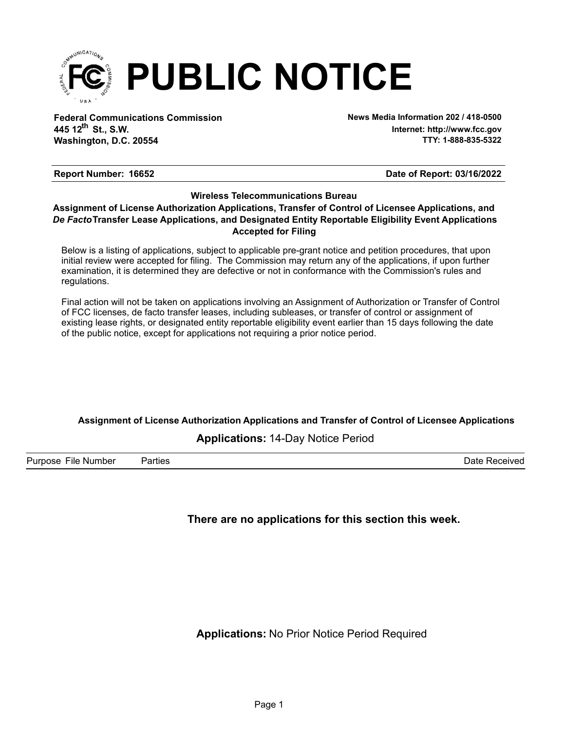

**Federal Communications Commission News Media Information 202 / 418-0500 Washington, D.C. 20554 th 445 12 St., S.W.**

**Internet: http://www.fcc.gov TTY: 1-888-835-5322**

#### **Report Number: 16652 16652 16652 1666 1666 1666 1666 1666 1666 1666 1666 1666 1666 1666 1666 1666 1666 1666 1666 1666 1666 1666 1666 1666 1666 1666 1666 1666 1666**

### **Wireless Telecommunications Bureau**

#### **Accepted for Filing** *De Facto***Transfer Lease Applications, and Designated Entity Reportable Eligibility Event Applications Assignment of License Authorization Applications, Transfer of Control of Licensee Applications, and**

Below is a listing of applications, subject to applicable pre-grant notice and petition procedures, that upon initial review were accepted for filing. The Commission may return any of the applications, if upon further examination, it is determined they are defective or not in conformance with the Commission's rules and regulations.

Final action will not be taken on applications involving an Assignment of Authorization or Transfer of Control of FCC licenses, de facto transfer leases, including subleases, or transfer of control or assignment of existing lease rights, or designated entity reportable eligibility event earlier than 15 days following the date of the public notice, except for applications not requiring a prior notice period.

## **Assignment of License Authorization Applications and Transfer of Control of Licensee Applications**

#### **Applications:** 14-Day Notice Period

Purpose File Number Parties Date Received

### **There are no applications for this section this week.**

**Applications:** No Prior Notice Period Required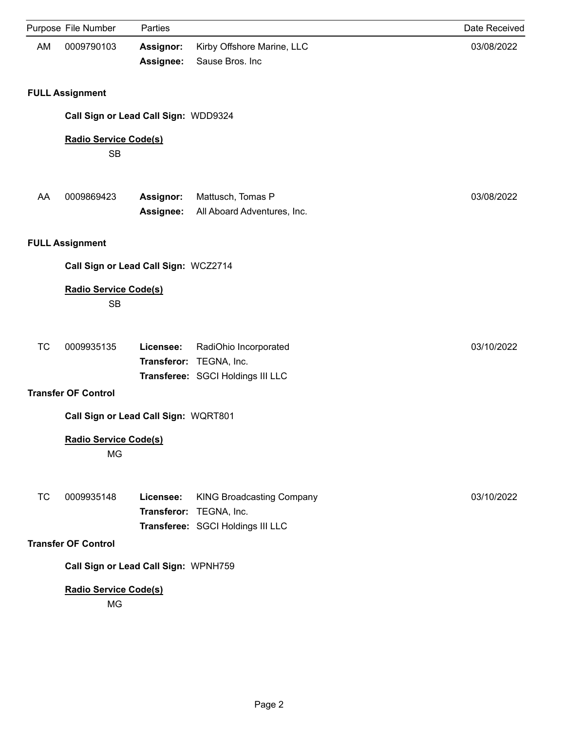|           | Purpose File Number                       | Parties                |                                                                                                  | Date Received |  |  |
|-----------|-------------------------------------------|------------------------|--------------------------------------------------------------------------------------------------|---------------|--|--|
| AM        | 0009790103                                | Assignor:<br>Assignee: | Kirby Offshore Marine, LLC<br>Sause Bros. Inc                                                    | 03/08/2022    |  |  |
|           | <b>FULL Assignment</b>                    |                        |                                                                                                  |               |  |  |
|           | Call Sign or Lead Call Sign: WDD9324      |                        |                                                                                                  |               |  |  |
|           | Radio Service Code(s)<br><b>SB</b>        |                        |                                                                                                  |               |  |  |
| AA        | 0009869423                                | Assignor:<br>Assignee: | Mattusch, Tomas P<br>All Aboard Adventures, Inc.                                                 | 03/08/2022    |  |  |
|           | <b>FULL Assignment</b>                    |                        |                                                                                                  |               |  |  |
|           | Call Sign or Lead Call Sign: WCZ2714      |                        |                                                                                                  |               |  |  |
|           | <b>Radio Service Code(s)</b><br><b>SB</b> |                        |                                                                                                  |               |  |  |
| <b>TC</b> | 0009935135                                | Licensee:              | RadiOhio Incorporated<br>Transferor: TEGNA, Inc.<br>Transferee: SGCI Holdings III LLC            | 03/10/2022    |  |  |
|           | <b>Transfer OF Control</b>                |                        |                                                                                                  |               |  |  |
|           | Call Sign or Lead Call Sign: WQRT801      |                        |                                                                                                  |               |  |  |
|           | <b>Radio Service Code(s)</b><br><b>MG</b> |                        |                                                                                                  |               |  |  |
| ТC        | 0009935148                                | Licensee:              | <b>KING Broadcasting Company</b><br>Transferor: TEGNA, Inc.<br>Transferee: SGCI Holdings III LLC | 03/10/2022    |  |  |
|           | <b>Transfer OF Control</b>                |                        |                                                                                                  |               |  |  |
|           | Call Sign or Lead Call Sign: WPNH759      |                        |                                                                                                  |               |  |  |
|           | <b>Radio Service Code(s)</b><br>MG        |                        |                                                                                                  |               |  |  |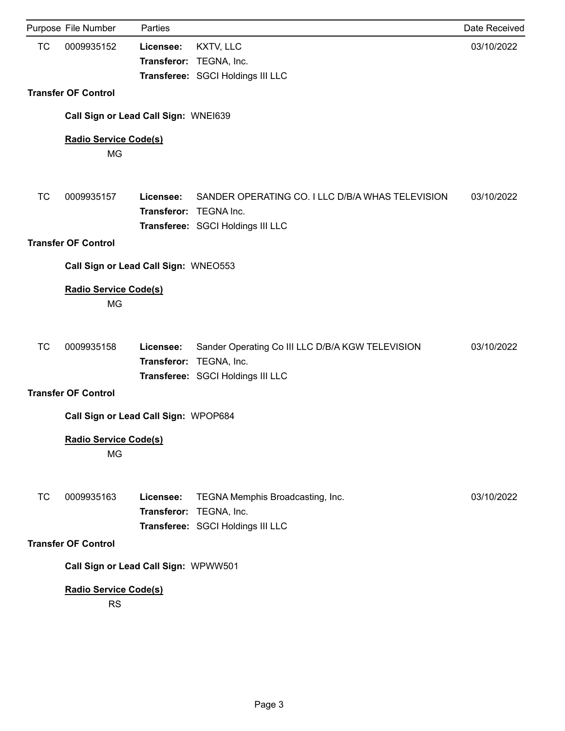|           | Purpose File Number                       | Parties                             |                                                                                                                  | Date Received |
|-----------|-------------------------------------------|-------------------------------------|------------------------------------------------------------------------------------------------------------------|---------------|
| TC        | 0009935152                                | Licensee:                           | KXTV, LLC<br>Transferor: TEGNA, Inc.<br>Transferee: SGCI Holdings III LLC                                        | 03/10/2022    |
|           | <b>Transfer OF Control</b>                |                                     |                                                                                                                  |               |
|           | Call Sign or Lead Call Sign: WNE1639      |                                     |                                                                                                                  |               |
|           | <b>Radio Service Code(s)</b><br><b>MG</b> |                                     |                                                                                                                  |               |
| <b>TC</b> | 0009935157                                | Licensee:<br>Transferor: TEGNA Inc. | SANDER OPERATING CO. I LLC D/B/A WHAS TELEVISION<br>Transferee: SGCI Holdings III LLC                            | 03/10/2022    |
|           | <b>Transfer OF Control</b>                |                                     |                                                                                                                  |               |
|           | Call Sign or Lead Call Sign: WNEO553      |                                     |                                                                                                                  |               |
|           | <b>Radio Service Code(s)</b><br>MG        |                                     |                                                                                                                  |               |
| <b>TC</b> | 0009935158                                | Licensee:                           | Sander Operating Co III LLC D/B/A KGW TELEVISION<br>Transferor: TEGNA, Inc.<br>Transferee: SGCI Holdings III LLC | 03/10/2022    |
|           | <b>Transfer OF Control</b>                |                                     |                                                                                                                  |               |
|           | Call Sign or Lead Call Sign: WPOP684      |                                     |                                                                                                                  |               |
|           | Radio Service Code(s)<br>MG               |                                     |                                                                                                                  |               |
| <b>TC</b> | 0009935163                                | Licensee:                           | TEGNA Memphis Broadcasting, Inc.<br>Transferor: TEGNA, Inc.<br>Transferee: SGCI Holdings III LLC                 | 03/10/2022    |
|           | <b>Transfer OF Control</b>                |                                     |                                                                                                                  |               |
|           | Call Sign or Lead Call Sign: WPWW501      |                                     |                                                                                                                  |               |
|           | Radio Service Code(s)<br><b>RS</b>        |                                     |                                                                                                                  |               |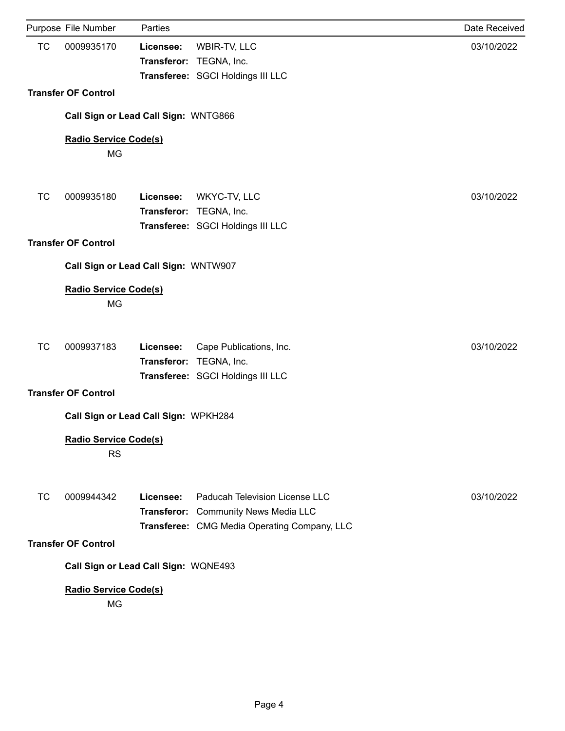|           | Purpose File Number                       | Parties   |                                                                                                                        | Date Received |
|-----------|-------------------------------------------|-----------|------------------------------------------------------------------------------------------------------------------------|---------------|
| <b>TC</b> | 0009935170                                | Licensee: | WBIR-TV, LLC<br>Transferor: TEGNA, Inc.<br>Transferee: SGCI Holdings III LLC                                           | 03/10/2022    |
|           | <b>Transfer OF Control</b>                |           |                                                                                                                        |               |
|           | Call Sign or Lead Call Sign: WNTG866      |           |                                                                                                                        |               |
|           | <b>Radio Service Code(s)</b><br><b>MG</b> |           |                                                                                                                        |               |
| <b>TC</b> | 0009935180                                | Licensee: | WKYC-TV, LLC<br>Transferor: TEGNA, Inc.<br>Transferee: SGCI Holdings III LLC                                           | 03/10/2022    |
|           | <b>Transfer OF Control</b>                |           |                                                                                                                        |               |
|           | Call Sign or Lead Call Sign: WNTW907      |           |                                                                                                                        |               |
|           | <b>Radio Service Code(s)</b><br><b>MG</b> |           |                                                                                                                        |               |
| <b>TC</b> | 0009937183                                | Licensee: | Cape Publications, Inc.<br>Transferor: TEGNA, Inc.<br>Transferee: SGCI Holdings III LLC                                | 03/10/2022    |
|           | <b>Transfer OF Control</b>                |           |                                                                                                                        |               |
|           | Call Sign or Lead Call Sign: WPKH284      |           |                                                                                                                        |               |
|           | Radio Service Code(s)<br><b>RS</b>        |           |                                                                                                                        |               |
| <b>TC</b> | 0009944342                                | Licensee: | Paducah Television License LLC<br>Transferor: Community News Media LLC<br>Transferee: CMG Media Operating Company, LLC | 03/10/2022    |
|           | <b>Transfer OF Control</b>                |           |                                                                                                                        |               |
|           | Call Sign or Lead Call Sign: WQNE493      |           |                                                                                                                        |               |
|           | Radio Service Code(s)<br>MG               |           |                                                                                                                        |               |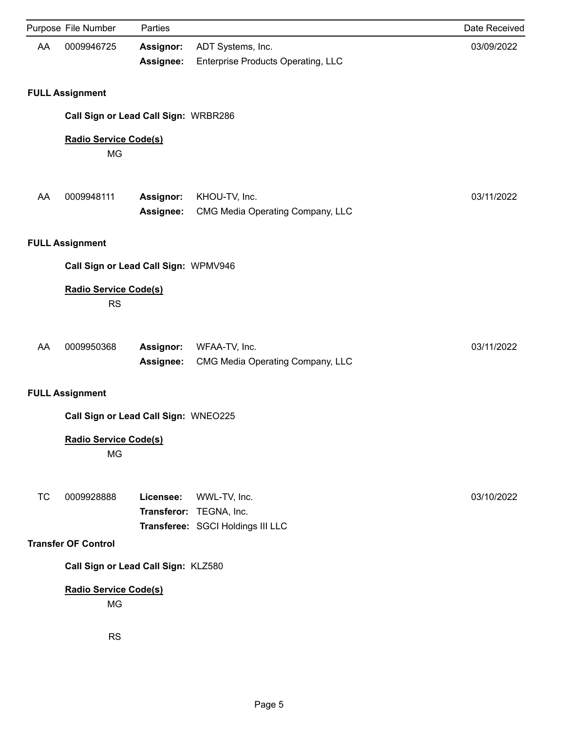|           | Purpose File Number                       | Parties                              |                                                                              | Date Received |
|-----------|-------------------------------------------|--------------------------------------|------------------------------------------------------------------------------|---------------|
| AA        | 0009946725                                | Assignor:<br>Assignee:               | ADT Systems, Inc.<br>Enterprise Products Operating, LLC                      | 03/09/2022    |
|           | <b>FULL Assignment</b>                    |                                      |                                                                              |               |
|           |                                           | Call Sign or Lead Call Sign: WRBR286 |                                                                              |               |
|           | <b>Radio Service Code(s)</b><br><b>MG</b> |                                      |                                                                              |               |
| AA        | 0009948111                                | Assignor:<br>Assignee:               | KHOU-TV, Inc.<br>CMG Media Operating Company, LLC                            | 03/11/2022    |
|           | <b>FULL Assignment</b>                    |                                      |                                                                              |               |
|           |                                           | Call Sign or Lead Call Sign: WPMV946 |                                                                              |               |
|           | <b>Radio Service Code(s)</b><br><b>RS</b> |                                      |                                                                              |               |
| AA        | 0009950368                                | Assignor:<br>Assignee:               | WFAA-TV, Inc.<br>CMG Media Operating Company, LLC                            | 03/11/2022    |
|           | <b>FULL Assignment</b>                    |                                      |                                                                              |               |
|           |                                           | Call Sign or Lead Call Sign: WNEO225 |                                                                              |               |
|           | <b>Radio Service Code(s)</b><br><b>MG</b> |                                      |                                                                              |               |
| <b>TC</b> | 0009928888                                | Licensee:                            | WWL-TV, Inc.<br>Transferor: TEGNA, Inc.<br>Transferee: SGCI Holdings III LLC | 03/10/2022    |
|           | <b>Transfer OF Control</b>                |                                      |                                                                              |               |
|           |                                           | Call Sign or Lead Call Sign: KLZ580  |                                                                              |               |
|           | <b>Radio Service Code(s)</b><br><b>MG</b> |                                      |                                                                              |               |
|           | <b>RS</b>                                 |                                      |                                                                              |               |
|           |                                           |                                      |                                                                              |               |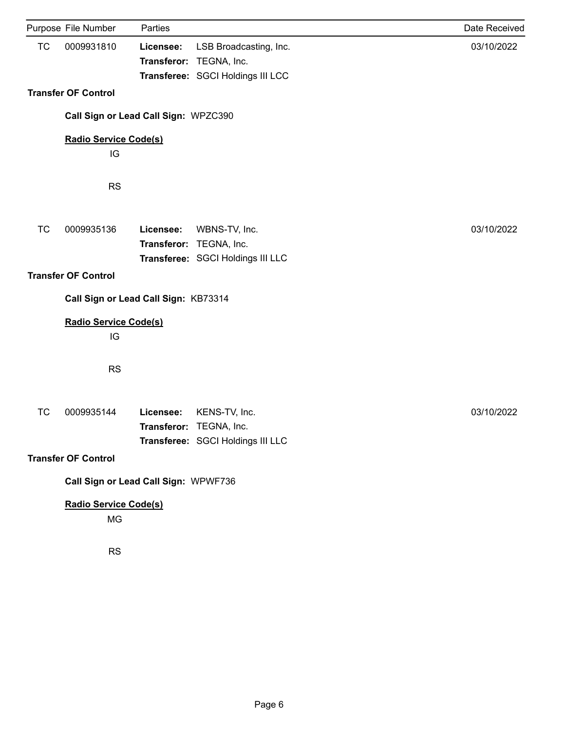|           | Purpose File Number                  | Parties   |                                                                               | Date Received |  |  |
|-----------|--------------------------------------|-----------|-------------------------------------------------------------------------------|---------------|--|--|
| <b>TC</b> | 0009931810                           | Licensee: | LSB Broadcasting, Inc.<br>Transferor: TEGNA, Inc.                             | 03/10/2022    |  |  |
|           |                                      |           | Transferee: SGCI Holdings III LCC                                             |               |  |  |
|           | <b>Transfer OF Control</b>           |           |                                                                               |               |  |  |
|           | Call Sign or Lead Call Sign: WPZC390 |           |                                                                               |               |  |  |
|           | Radio Service Code(s)                |           |                                                                               |               |  |  |
|           | IG                                   |           |                                                                               |               |  |  |
|           | <b>RS</b>                            |           |                                                                               |               |  |  |
| <b>TC</b> | 0009935136                           | Licensee: | WBNS-TV, Inc.<br>Transferor: TEGNA, Inc.<br>Transferee: SGCI Holdings III LLC | 03/10/2022    |  |  |
|           | <b>Transfer OF Control</b>           |           |                                                                               |               |  |  |
|           | Call Sign or Lead Call Sign: KB73314 |           |                                                                               |               |  |  |
|           |                                      |           |                                                                               |               |  |  |
|           | <b>Radio Service Code(s)</b><br>IG   |           |                                                                               |               |  |  |
|           | <b>RS</b>                            |           |                                                                               |               |  |  |
| <b>TC</b> | 0009935144                           | Licensee: | KENS-TV, Inc.<br>Transferor: TEGNA, Inc.<br>Transferee: SGCI Holdings III LLC | 03/10/2022    |  |  |
|           | <b>Transfer OF Control</b>           |           |                                                                               |               |  |  |
|           | Call Sign or Lead Call Sign: WPWF736 |           |                                                                               |               |  |  |
|           | <b>Radio Service Code(s)</b>         |           |                                                                               |               |  |  |
|           | MG                                   |           |                                                                               |               |  |  |
|           | <b>RS</b>                            |           |                                                                               |               |  |  |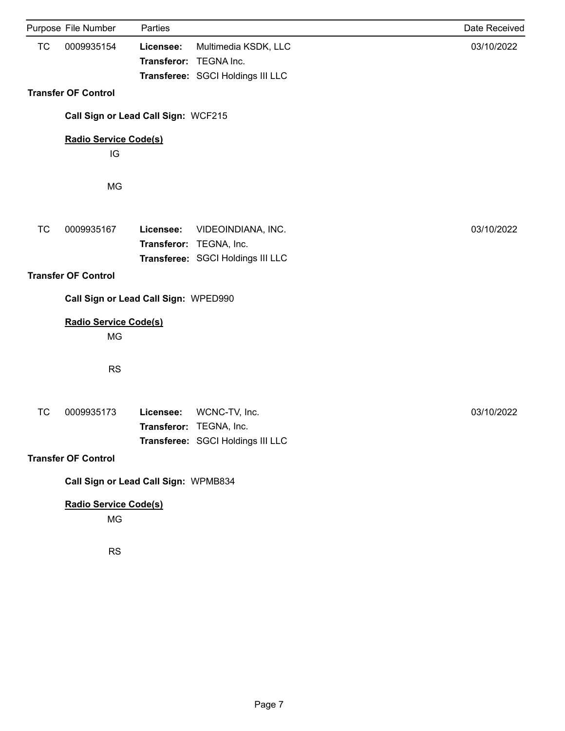|                                      | Purpose File Number                  | Parties                             |                                                                                    | Date Received |  |
|--------------------------------------|--------------------------------------|-------------------------------------|------------------------------------------------------------------------------------|---------------|--|
| <b>TC</b>                            | 0009935154                           | Licensee:<br>Transferor: TEGNA Inc. | Multimedia KSDK, LLC<br>Transferee: SGCI Holdings III LLC                          | 03/10/2022    |  |
|                                      | <b>Transfer OF Control</b>           |                                     |                                                                                    |               |  |
|                                      | Call Sign or Lead Call Sign: WCF215  |                                     |                                                                                    |               |  |
|                                      | <b>Radio Service Code(s)</b>         |                                     |                                                                                    |               |  |
|                                      | IG                                   |                                     |                                                                                    |               |  |
|                                      | MG                                   |                                     |                                                                                    |               |  |
| <b>TC</b>                            | 0009935167                           | Licensee:                           | VIDEOINDIANA, INC.<br>Transferor: TEGNA, Inc.<br>Transferee: SGCI Holdings III LLC | 03/10/2022    |  |
|                                      | <b>Transfer OF Control</b>           |                                     |                                                                                    |               |  |
|                                      | Call Sign or Lead Call Sign: WPED990 |                                     |                                                                                    |               |  |
|                                      | Radio Service Code(s)<br>MG          |                                     |                                                                                    |               |  |
|                                      | <b>RS</b>                            |                                     |                                                                                    |               |  |
| <b>TC</b>                            | 0009935173                           | Licensee:                           | WCNC-TV, Inc.<br>Transferor: TEGNA, Inc.<br>Transferee: SGCI Holdings III LLC      | 03/10/2022    |  |
|                                      | <b>Transfer OF Control</b>           |                                     |                                                                                    |               |  |
| Call Sign or Lead Call Sign: WPMB834 |                                      |                                     |                                                                                    |               |  |
|                                      | Radio Service Code(s)<br>MG          |                                     |                                                                                    |               |  |
|                                      | <b>RS</b>                            |                                     |                                                                                    |               |  |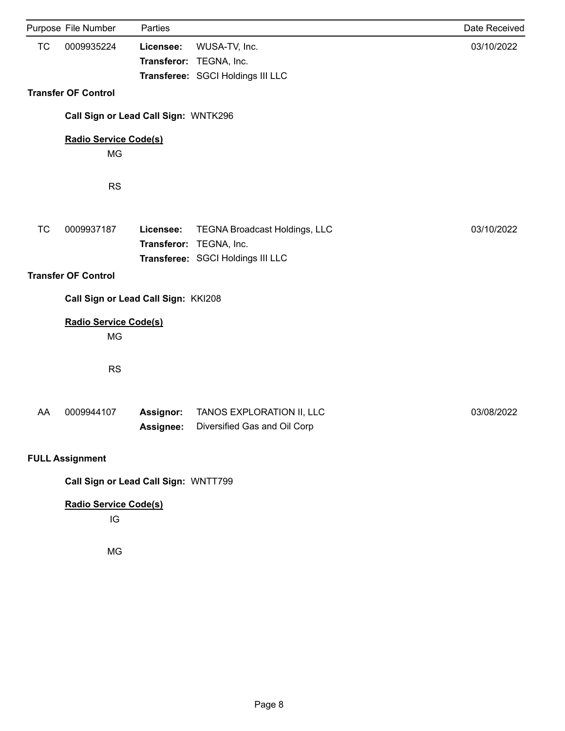|           | Purpose File Number                  | Parties                |                                                                                                      | Date Received |
|-----------|--------------------------------------|------------------------|------------------------------------------------------------------------------------------------------|---------------|
| <b>TC</b> | 0009935224                           | Licensee:              | WUSA-TV, Inc.<br>Transferor: TEGNA, Inc.<br>Transferee: SGCI Holdings III LLC                        | 03/10/2022    |
|           | <b>Transfer OF Control</b>           |                        |                                                                                                      |               |
|           | Call Sign or Lead Call Sign: WNTK296 |                        |                                                                                                      |               |
|           | <b>Radio Service Code(s)</b><br>MG   |                        |                                                                                                      |               |
|           | <b>RS</b>                            |                        |                                                                                                      |               |
| <b>TC</b> | 0009937187                           | Licensee:              | <b>TEGNA Broadcast Holdings, LLC</b><br>Transferor: TEGNA, Inc.<br>Transferee: SGCI Holdings III LLC | 03/10/2022    |
|           | <b>Transfer OF Control</b>           |                        |                                                                                                      |               |
|           | Call Sign or Lead Call Sign: KKI208  |                        |                                                                                                      |               |
|           | <b>Radio Service Code(s)</b><br>MG   |                        |                                                                                                      |               |
|           | <b>RS</b>                            |                        |                                                                                                      |               |
| AA        | 0009944107                           | Assignor:<br>Assignee: | TANOS EXPLORATION II, LLC<br>Diversified Gas and Oil Corp                                            | 03/08/2022    |
|           | <b>FULL Assignment</b>               |                        |                                                                                                      |               |
|           | Call Sign or Lead Call Sign: WNTT799 |                        |                                                                                                      |               |
|           | <b>Radio Service Code(s)</b><br>IG   |                        |                                                                                                      |               |
|           | MG                                   |                        |                                                                                                      |               |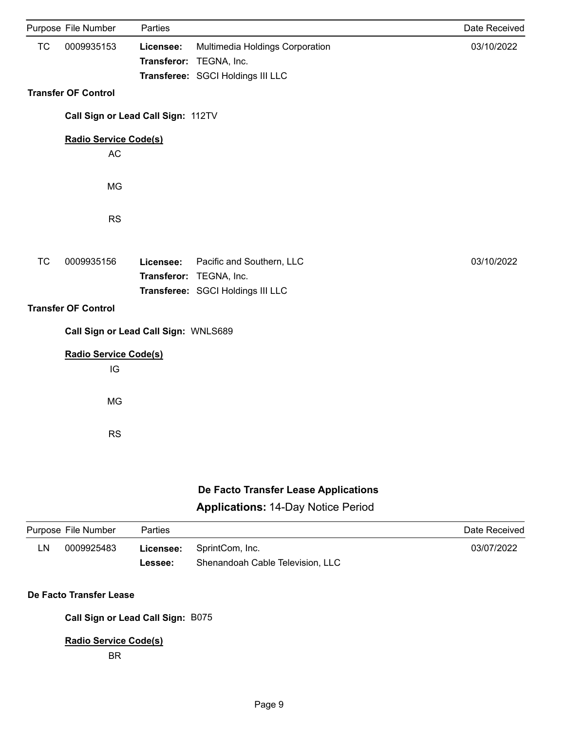|           | Purpose File Number                  | Parties   |                                                      | Date Received |
|-----------|--------------------------------------|-----------|------------------------------------------------------|---------------|
| <b>TC</b> | 0009935153                           | Licensee: | Multimedia Holdings Corporation                      | 03/10/2022    |
|           |                                      |           | Transferor: TEGNA, Inc.                              |               |
|           |                                      |           | Transferee: SGCI Holdings III LLC                    |               |
|           |                                      |           |                                                      |               |
|           | <b>Transfer OF Control</b>           |           |                                                      |               |
|           | Call Sign or Lead Call Sign: 112TV   |           |                                                      |               |
|           | <b>Radio Service Code(s)</b>         |           |                                                      |               |
|           | <b>AC</b>                            |           |                                                      |               |
|           |                                      |           |                                                      |               |
|           | <b>MG</b>                            |           |                                                      |               |
|           |                                      |           |                                                      |               |
|           | <b>RS</b>                            |           |                                                      |               |
|           |                                      |           |                                                      |               |
|           |                                      |           |                                                      |               |
| <b>TC</b> | 0009935156                           | Licensee: | Pacific and Southern, LLC<br>Transferor: TEGNA, Inc. | 03/10/2022    |
|           |                                      |           | Transferee: SGCI Holdings III LLC                    |               |
|           |                                      |           |                                                      |               |
|           | <b>Transfer OF Control</b>           |           |                                                      |               |
|           | Call Sign or Lead Call Sign: WNLS689 |           |                                                      |               |
|           | <b>Radio Service Code(s)</b>         |           |                                                      |               |
|           | IG                                   |           |                                                      |               |
|           |                                      |           |                                                      |               |
|           | <b>MG</b>                            |           |                                                      |               |
|           |                                      |           |                                                      |               |
|           | <b>RS</b>                            |           |                                                      |               |
|           |                                      |           |                                                      |               |
|           |                                      |           |                                                      |               |

# **De Facto Transfer Lease Applications**

### **Applications:** 14-Day Notice Period

|    | Purpose File Number | <b>Parties</b> |                                  | Date Received |
|----|---------------------|----------------|----------------------------------|---------------|
| LN | 0009925483          |                | <b>Licensee:</b> SprintCom, Inc. | 03/07/2022    |
|    |                     | Lessee:        | Shenandoah Cable Television, LLC |               |
|    |                     |                |                                  |               |

### **De Facto Transfer Lease**

**Call Sign or Lead Call Sign:** B075

### **Radio Service Code(s)**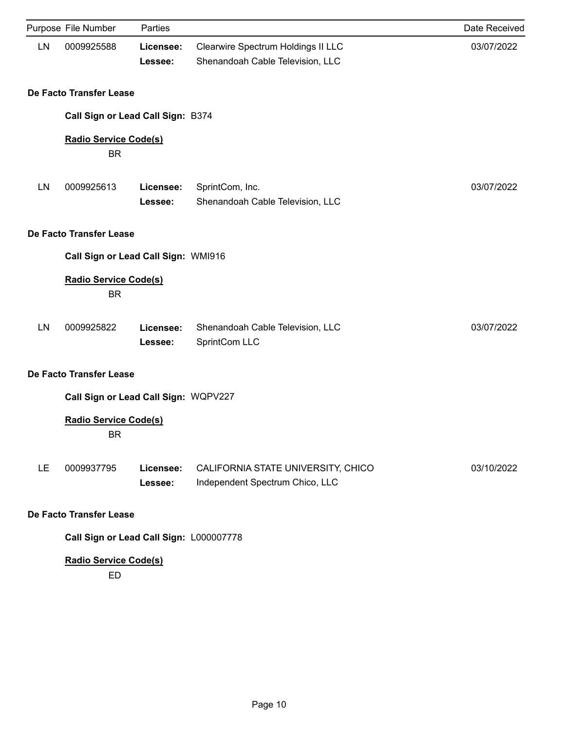|     | Purpose File Number                       | Parties              |                                                                        | Date Received |  |  |
|-----|-------------------------------------------|----------------------|------------------------------------------------------------------------|---------------|--|--|
| LN  | 0009925588                                | Licensee:<br>Lessee: | Clearwire Spectrum Holdings II LLC<br>Shenandoah Cable Television, LLC | 03/07/2022    |  |  |
|     | De Facto Transfer Lease                   |                      |                                                                        |               |  |  |
|     | Call Sign or Lead Call Sign: B374         |                      |                                                                        |               |  |  |
|     | <b>Radio Service Code(s)</b><br><b>BR</b> |                      |                                                                        |               |  |  |
| LN  | 0009925613                                | Licensee:<br>Lessee: | SprintCom, Inc.<br>Shenandoah Cable Television, LLC                    | 03/07/2022    |  |  |
|     | De Facto Transfer Lease                   |                      |                                                                        |               |  |  |
|     | Call Sign or Lead Call Sign: WMI916       |                      |                                                                        |               |  |  |
|     | <b>Radio Service Code(s)</b><br><b>BR</b> |                      |                                                                        |               |  |  |
| LN  | 0009925822                                | Licensee:<br>Lessee: | Shenandoah Cable Television, LLC<br>SprintCom LLC                      | 03/07/2022    |  |  |
|     | De Facto Transfer Lease                   |                      |                                                                        |               |  |  |
|     | Call Sign or Lead Call Sign: WQPV227      |                      |                                                                        |               |  |  |
|     | <b>Radio Service Code(s)</b><br><b>BR</b> |                      |                                                                        |               |  |  |
| LE. | 0009937795                                | Licensee:<br>Lessee: | CALIFORNIA STATE UNIVERSITY, CHICO<br>Independent Spectrum Chico, LLC  | 03/10/2022    |  |  |
|     | De Facto Transfer Lease                   |                      |                                                                        |               |  |  |
|     | Call Sign or Lead Call Sign: L000007778   |                      |                                                                        |               |  |  |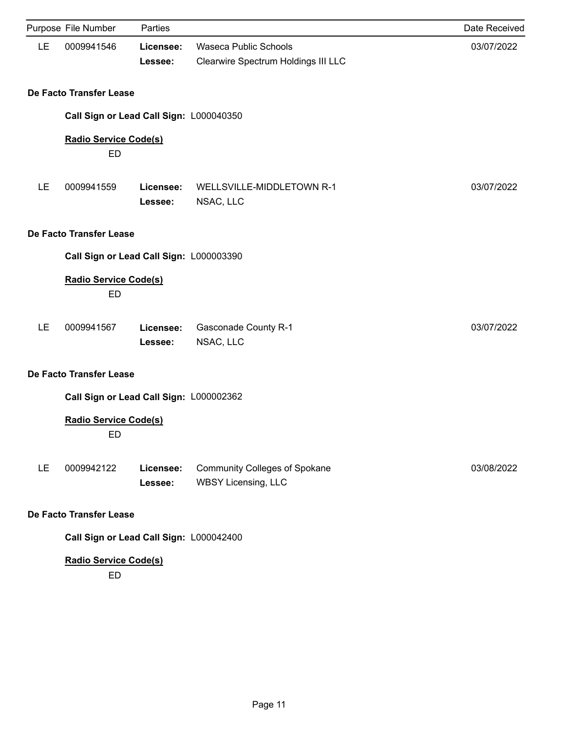|           | Purpose File Number                       | Parties              |                                                                    | Date Received |  |  |
|-----------|-------------------------------------------|----------------------|--------------------------------------------------------------------|---------------|--|--|
| LE        | 0009941546                                | Licensee:<br>Lessee: | Waseca Public Schools<br>Clearwire Spectrum Holdings III LLC       | 03/07/2022    |  |  |
|           | De Facto Transfer Lease                   |                      |                                                                    |               |  |  |
|           | Call Sign or Lead Call Sign: L000040350   |                      |                                                                    |               |  |  |
|           | <b>Radio Service Code(s)</b><br><b>ED</b> |                      |                                                                    |               |  |  |
| LE        | 0009941559                                | Licensee:<br>Lessee: | WELLSVILLE-MIDDLETOWN R-1<br>NSAC, LLC                             | 03/07/2022    |  |  |
|           | De Facto Transfer Lease                   |                      |                                                                    |               |  |  |
|           | Call Sign or Lead Call Sign: L000003390   |                      |                                                                    |               |  |  |
|           | <b>Radio Service Code(s)</b><br>ED        |                      |                                                                    |               |  |  |
| LE        | 0009941567                                | Licensee:<br>Lessee: | <b>Gasconade County R-1</b><br>NSAC, LLC                           | 03/07/2022    |  |  |
|           | De Facto Transfer Lease                   |                      |                                                                    |               |  |  |
|           | Call Sign or Lead Call Sign: L000002362   |                      |                                                                    |               |  |  |
|           | <b>Radio Service Code(s)</b><br>ED        |                      |                                                                    |               |  |  |
| <b>LE</b> | 0009942122                                | Licensee:<br>Lessee: | <b>Community Colleges of Spokane</b><br><b>WBSY Licensing, LLC</b> | 03/08/2022    |  |  |
|           | <b>De Facto Transfer Lease</b>            |                      |                                                                    |               |  |  |
|           | Call Sign or Lead Call Sign: L000042400   |                      |                                                                    |               |  |  |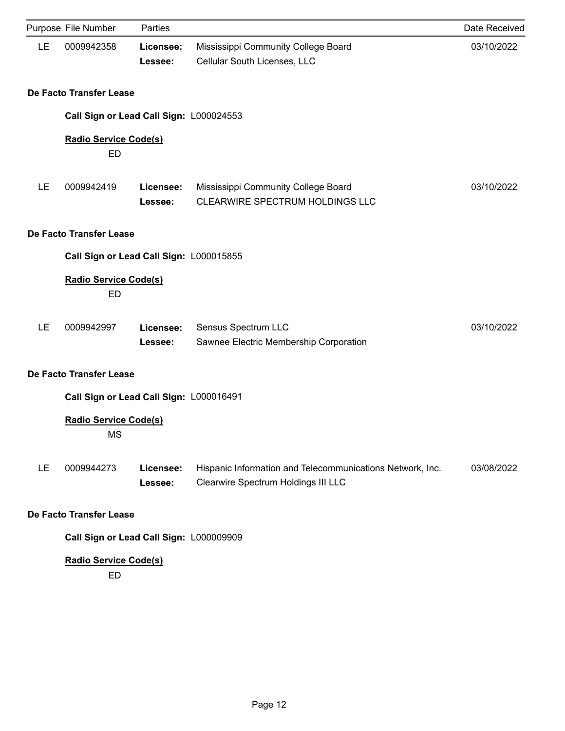|    | Purpose File Number                       | Parties              |                                                                                                  | Date Received |  |  |
|----|-------------------------------------------|----------------------|--------------------------------------------------------------------------------------------------|---------------|--|--|
| LE | 0009942358                                | Licensee:<br>Lessee: | Mississippi Community College Board<br>Cellular South Licenses, LLC                              | 03/10/2022    |  |  |
|    | De Facto Transfer Lease                   |                      |                                                                                                  |               |  |  |
|    | Call Sign or Lead Call Sign: L000024553   |                      |                                                                                                  |               |  |  |
|    | <b>Radio Service Code(s)</b><br><b>ED</b> |                      |                                                                                                  |               |  |  |
| LE | 0009942419                                | Licensee:<br>Lessee: | Mississippi Community College Board<br>CLEARWIRE SPECTRUM HOLDINGS LLC                           | 03/10/2022    |  |  |
|    | De Facto Transfer Lease                   |                      |                                                                                                  |               |  |  |
|    | Call Sign or Lead Call Sign: L000015855   |                      |                                                                                                  |               |  |  |
|    | <b>Radio Service Code(s)</b><br>ED        |                      |                                                                                                  |               |  |  |
| LE | 0009942997                                | Licensee:<br>Lessee: | Sensus Spectrum LLC<br>Sawnee Electric Membership Corporation                                    | 03/10/2022    |  |  |
|    | De Facto Transfer Lease                   |                      |                                                                                                  |               |  |  |
|    | Call Sign or Lead Call Sign: L000016491   |                      |                                                                                                  |               |  |  |
|    | <b>Radio Service Code(s)</b><br><b>MS</b> |                      |                                                                                                  |               |  |  |
| LE | 0009944273                                | Licensee:<br>Lessee: | Hispanic Information and Telecommunications Network, Inc.<br>Clearwire Spectrum Holdings III LLC | 03/08/2022    |  |  |
|    | De Facto Transfer Lease                   |                      |                                                                                                  |               |  |  |
|    | Call Sign or Lead Call Sign: L000009909   |                      |                                                                                                  |               |  |  |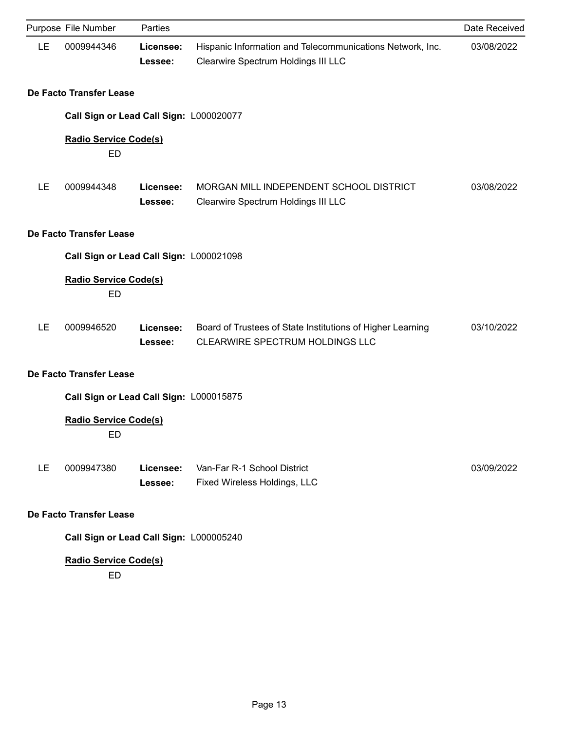|                                         | Purpose File Number                       | Parties              |                                                                                                  | Date Received |
|-----------------------------------------|-------------------------------------------|----------------------|--------------------------------------------------------------------------------------------------|---------------|
| LE                                      | 0009944346                                | Licensee:<br>Lessee: | Hispanic Information and Telecommunications Network, Inc.<br>Clearwire Spectrum Holdings III LLC | 03/08/2022    |
|                                         | De Facto Transfer Lease                   |                      |                                                                                                  |               |
|                                         | Call Sign or Lead Call Sign: L000020077   |                      |                                                                                                  |               |
|                                         | <b>Radio Service Code(s)</b><br>ED        |                      |                                                                                                  |               |
| LE                                      | 0009944348                                | Licensee:<br>Lessee: | MORGAN MILL INDEPENDENT SCHOOL DISTRICT<br>Clearwire Spectrum Holdings III LLC                   | 03/08/2022    |
|                                         | De Facto Transfer Lease                   |                      |                                                                                                  |               |
|                                         | Call Sign or Lead Call Sign: L000021098   |                      |                                                                                                  |               |
|                                         | <b>Radio Service Code(s)</b><br>ED        |                      |                                                                                                  |               |
| LE                                      | 0009946520                                | Licensee:<br>Lessee: | Board of Trustees of State Institutions of Higher Learning<br>CLEARWIRE SPECTRUM HOLDINGS LLC    | 03/10/2022    |
| De Facto Transfer Lease                 |                                           |                      |                                                                                                  |               |
|                                         | Call Sign or Lead Call Sign: L000015875   |                      |                                                                                                  |               |
|                                         | <b>Radio Service Code(s)</b><br><b>ED</b> |                      |                                                                                                  |               |
| LE                                      | 0009947380                                | Licensee:<br>Lessee: | Van-Far R-1 School District<br>Fixed Wireless Holdings, LLC                                      | 03/09/2022    |
| De Facto Transfer Lease                 |                                           |                      |                                                                                                  |               |
| Call Sign or Lead Call Sign: L000005240 |                                           |                      |                                                                                                  |               |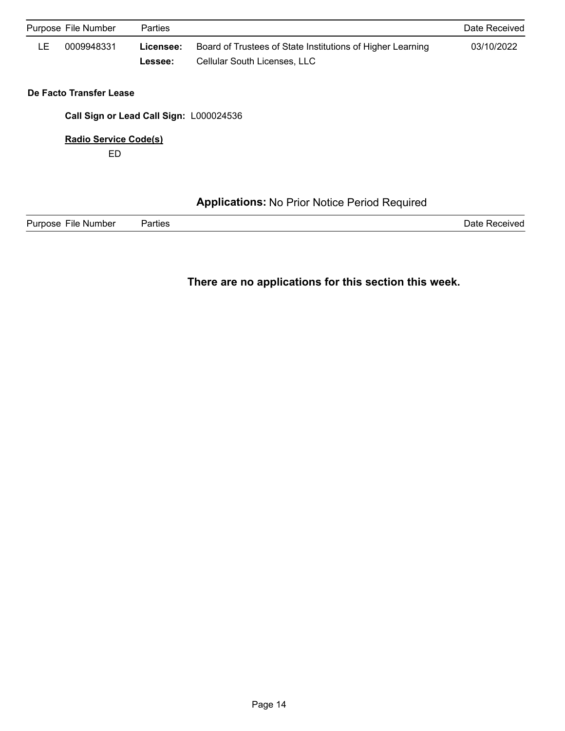| Purpose File Number |                                         | Parties              |                                                                                                   |            |  |
|---------------------|-----------------------------------------|----------------------|---------------------------------------------------------------------------------------------------|------------|--|
| LE                  | 0009948331                              | Licensee:<br>Lessee: | Board of Trustees of State Institutions of Higher Learning<br><b>Cellular South Licenses, LLC</b> | 03/10/2022 |  |
|                     | De Facto Transfer Lease                 |                      |                                                                                                   |            |  |
|                     | Call Sign or Lead Call Sign: L000024536 |                      |                                                                                                   |            |  |
|                     | <b>Radio Service Code(s)</b><br>ED      |                      |                                                                                                   |            |  |
|                     |                                         |                      |                                                                                                   |            |  |
|                     |                                         |                      | <b>Applications: No Prior Notice Period Required</b>                                              |            |  |

Purpose File Number Parties **Provide Acceleration Control** Purpose File Number Parties Parties Parties Acceleration

### **There are no applications for this section this week.**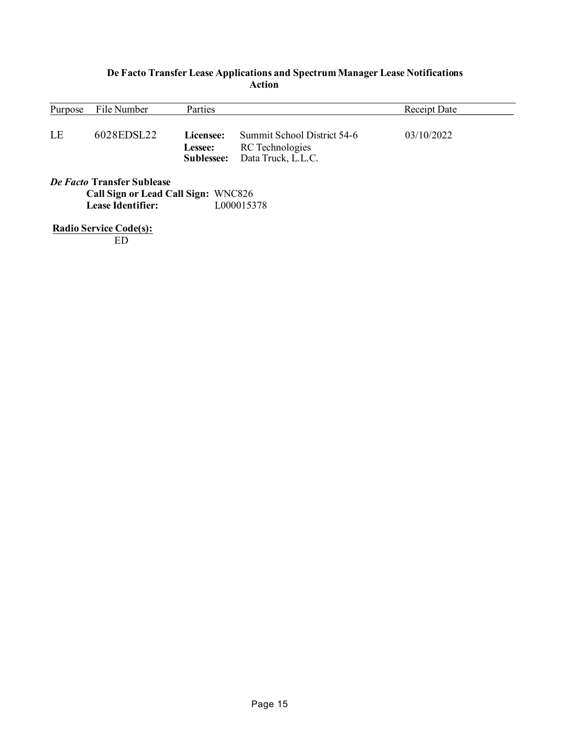### **De Facto Transfer Lease Applications and Spectrum Manager Lease Notifications Action**

| Purpose                    | File Number | Parties                            |                                                                      | Receipt Date |  |
|----------------------------|-------------|------------------------------------|----------------------------------------------------------------------|--------------|--|
| LE                         | 6028EDSL22  | Licensee:<br>Lessee:<br>Sublessee: | Summit School District 54-6<br>RC Technologies<br>Data Truck, L.L.C. | 03/10/2022   |  |
| De Facto Transfer Sublease |             |                                    |                                                                      |              |  |

**Call Sign or Lead Call Sign: WNC826<br>Lease Identifier:** L000015378 Lease Identifier:

**Radio Service Code(s):**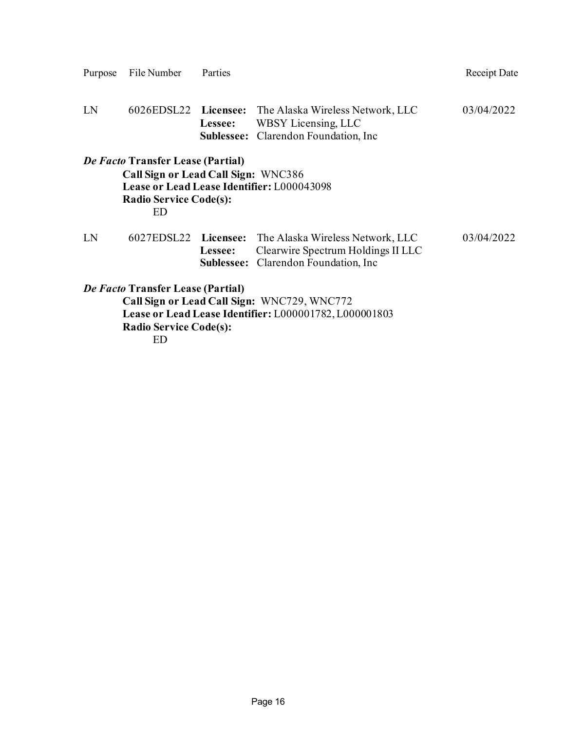| LN                                                                                                                                                                                |  |         | 6026EDSL22 Licensee: The Alaska Wireless Network, LLC<br>Lessee: WBSY Licensing, LLC<br><b>Sublessee:</b> Clarendon Foundation, Inc. | 03/04/2022 |  |
|-----------------------------------------------------------------------------------------------------------------------------------------------------------------------------------|--|---------|--------------------------------------------------------------------------------------------------------------------------------------|------------|--|
| <i>De Facto</i> Transfer Lease (Partial)<br>Call Sign or Lead Call Sign: WNC386<br>Lease or Lead Lease Identifier: L000043098<br><b>Radio Service Code(s):</b><br>ED              |  |         |                                                                                                                                      |            |  |
| LN                                                                                                                                                                                |  | Lessee: | 6027EDSL22 Licensee: The Alaska Wireless Network, LLC<br>Clearwire Spectrum Holdings II LLC<br>Sublessee: Clarendon Foundation, Inc  | 03/04/2022 |  |
| De Facto Transfer Lease (Partial)<br>Call Sign or Lead Call Sign: WNC729, WNC772<br>Lease or Lead Lease Identifier: L000001782, L000001803<br><b>Radio Service Code(s):</b><br>ЕD |  |         |                                                                                                                                      |            |  |

Purpose File Number Parties **Parties** Receipt Date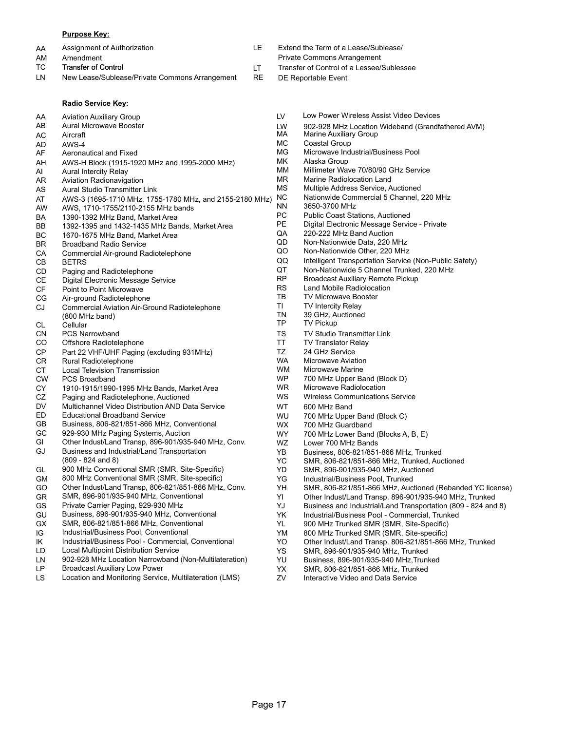#### **Purpose Key:**

| AA  | Assignment of Authorization | Extend the Term of a Lease/Sublease/   |
|-----|-----------------------------|----------------------------------------|
| AM  | Amendment                   | Private Commons Arrangement            |
| TC. | Transfer of Control         | Transfer of Control of a Lessee/Subles |

- LN New Lease/Sublease/Private Commons Arrangement RE
	- **Radio Service Key:**

- 
- Private Commons Arrangement
- Transfer of Control of a Lessee/Sublessee
- DE Reportable Event

|           | <b>Radio Service Key:</b>                                              |           |                                         |
|-----------|------------------------------------------------------------------------|-----------|-----------------------------------------|
| AA        | <b>Aviation Auxiliary Group</b>                                        | LV        | Low Power Wire                          |
| AB        | <b>Aural Microwave Booster</b>                                         | LW        | 902-928 MHz L                           |
| AC        | Aircraft                                                               | МA        | Marine Auxiliary                        |
| AD        | AWS-4                                                                  | МC        | Coastal Group                           |
| AF        | Aeronautical and Fixed                                                 | MG        | Microwave Indu                          |
| AH        | AWS-H Block (1915-1920 MHz and 1995-2000 MHz)                          | МK        | Alaska Group                            |
| AI        | <b>Aural Intercity Relay</b>                                           | ΜМ        | <b>Millimeter Wave</b>                  |
| AR        | <b>Aviation Radionavigation</b>                                        | ΜR        | Marine Radiolo                          |
| AS        | <b>Aural Studio Transmitter Link</b>                                   | МS        | <b>Multiple Addres</b>                  |
| AT        | AWS-3 (1695-1710 MHz, 1755-1780 MHz, and 2155-2180 MHz)                | NС        | Nationwide Cor                          |
| AW        | AWS, 1710-1755/2110-2155 MHz bands                                     | ΝN<br>PC  | 3650-3700 MHz<br><b>Public Coast St</b> |
| BA        | 1390-1392 MHz Band, Market Area                                        | <b>PE</b> |                                         |
| BВ        | 1392-1395 and 1432-1435 MHz Bands, Market Area                         | QA        | Digital Electron<br>220-222 MHz B       |
| ВC        | 1670-1675 MHz Band, Market Area                                        | QD        | Non-Nationwide                          |
| BR        | <b>Broadband Radio Service</b>                                         | QO        | Non-Nationwide                          |
| CA        | Commercial Air-ground Radiotelephone                                   | QQ        | <b>Intelligent Trans</b>                |
| CВ        | <b>BETRS</b>                                                           | QT        | Non-Nationwide                          |
| CD        | Paging and Radiotelephone                                              | <b>RP</b> | <b>Broadcast Auxil</b>                  |
| CЕ        | Digital Electronic Message Service                                     | <b>RS</b> | Land Mobile Ra                          |
| CF<br>СG  | <b>Point to Point Microwave</b><br>Air-ground Radiotelephone           | TB        | <b>TV Microwave I</b>                   |
| CJ        |                                                                        | ΤL        | <b>TV Intercity Rel</b>                 |
|           | <b>Commercial Aviation Air-Ground Radiotelephone</b><br>(800 MHz band) | TN        | 39 GHz, Auction                         |
| CL        | Cellular                                                               | TP        | <b>TV Pickup</b>                        |
| CΝ        | <b>PCS Narrowband</b>                                                  | <b>TS</b> | <b>TV Studio Trans</b>                  |
| CO        | Offshore Radiotelephone                                                | TT        | <b>TV Translator R</b>                  |
| СP        | Part 22 VHF/UHF Paging (excluding 931MHz)                              | TZ        | 24 GHz Service                          |
| CR        | Rural Radiotelephone                                                   | <b>WA</b> | Microwave Avia                          |
| СT        | <b>Local Television Transmission</b>                                   | <b>WM</b> | Microwave Mar                           |
| <b>CW</b> | <b>PCS Broadband</b>                                                   | WP        | 700 MHz Upper                           |
| СY        | 1910-1915/1990-1995 MHz Bands, Market Area                             | <b>WR</b> | Microwave Rad                           |
| CZ        | Paging and Radiotelephone, Auctioned                                   | <b>WS</b> | <b>Wireless Comm</b>                    |
| DV        | Multichannel Video Distribution AND Data Service                       | <b>WT</b> | 600 MHz Band                            |
| ED        | <b>Educational Broadband Service</b>                                   | <b>WU</b> | 700 MHz Upper                           |
| GB        | Business, 806-821/851-866 MHz, Conventional                            | <b>WX</b> | 700 MHz Guard                           |
| GC        | 929-930 MHz Paging Systems, Auction                                    | <b>WY</b> | 700 MHz Lower                           |
| GI        | Other Indust/Land Transp, 896-901/935-940 MHz, Conv.                   | <b>WZ</b> | Lower 700 MHz                           |
| GJ        | Business and Industrial/Land Transportation                            | YB.       | Business, 806-8                         |
|           | $(809 - 824$ and 8)                                                    | YC        | SMR, 806-821/                           |
| GL        | 900 MHz Conventional SMR (SMR, Site-Specific)                          | YD        | SMR, 896-901/                           |
| GМ        | 800 MHz Conventional SMR (SMR, Site-specific)                          | YG        | Industrial/Busin                        |
| GO        | Other Indust/Land Transp, 806-821/851-866 MHz, Conv.                   | YH        | SMR, 806-821/                           |
| GR        | SMR, 896-901/935-940 MHz, Conventional                                 | YI        | Other Indust/La                         |
| GS        | Private Carrier Paging, 929-930 MHz                                    | YJ        | Business and In                         |
| GU        | Business, 896-901/935-940 MHz, Conventional                            | YK        | Industrial/Busin                        |
| <b>GX</b> | SMR, 806-821/851-866 MHz, Conventional                                 | YL        | 900 MHz Trunk                           |
| IG        | Industrial/Business Pool, Conventional                                 | YM        | 800 MHz Trunk                           |
| IK        | Industrial/Business Pool - Commercial, Conventional                    | YO        | Other Indust/La                         |
| LD        | <b>Local Multipoint Distribution Service</b>                           | YS.       | SMR, 896-901/                           |
| LN        | 902-928 MHz Location Narrowband (Non-Multilateration)                  | YU        | Business, 896-9                         |
| LР        | <b>Broadcast Auxiliary Low Power</b>                                   | YΧ        | SMR, 806-821/                           |

LS Location and Monitoring Service, Multilateration (LMS)

- Low Power Wireless Assist Video Devices
- 902-928 MHz Location Wideband (Grandfathered AVM)
- **Marine Auxiliary Group**
- Coastal Group Microwave Industrial/Business Pool
- Alaska Group
- Millimeter Wave 70/80/90 GHz Service
- Marine Radiolocation Land
- Multiple Address Service, Auctioned
- Nationwide Commercial 5 Channel, 220 MHz
- 3650-3700 MHz
- Public Coast Stations, Auctioned
- Digital Electronic Message Service Private
- 220-222 MHz Band Auction
- Non-Nationwide Data, 220 MHz
- Non-Nationwide Other, 220 MHz
- Intelligent Transportation Service (Non-Public Safety)
- Non-Nationwide 5 Channel Trunked, 220 MHz
	- **Broadcast Auxiliary Remote Pickup**
	- Land Mobile Radiolocation
- TV Microwave Booster
- **TV Intercity Relay** 
	- 39 GHz, Auctioned
	- **TV Pickup**
	- TV Studio Transmitter Link
- TV Translator Relay 24 GHz Service
- Microwave Aviation
- Microwave Marine
- 700 MHz Upper Band (Block D)
- Microwave Radiolocation
- Wireless Communications Service
- - 700 MHz Upper Band (Block C)
	- 700 MHz Guardband
	- 700 MHz Lower Band (Blocks A, B, E)
	- Lower 700 MHz Bands
- Business, 806-821/851-866 MHz, Trunked
- SMR, 806-821/851-866 MHz, Trunked, Auctioned
- SMR, 896-901/935-940 MHz, Auctioned
- Industrial/Business Pool, Trunked
- SMR, 806-821/851-866 MHz, Auctioned (Rebanded YC license)
- Other Indust/Land Transp. 896-901/935-940 MHz, Trunked
- Business and Industrial/Land Transportation (809 824 and 8)
- Industrial/Business Pool Commercial, Trunked
- 900 MHz Trunked SMR (SMR, Site-Specific)
- 800 MHz Trunked SMR (SMR, Site-specific)
- Other Indust/Land Transp. 806-821/851-866 MHz, Trunked
- SMR, 896-901/935-940 MHz, Trunked
- Business, 896-901/935-940 MHz,Trunked
	- SMR, 806-821/851-866 MHz, Trunked
- ZV Interactive Video and Data Service